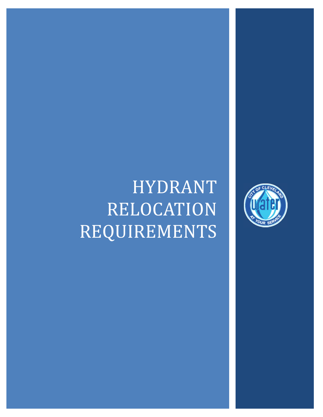## HYDRANT RELOCATION REQUIREMENTS